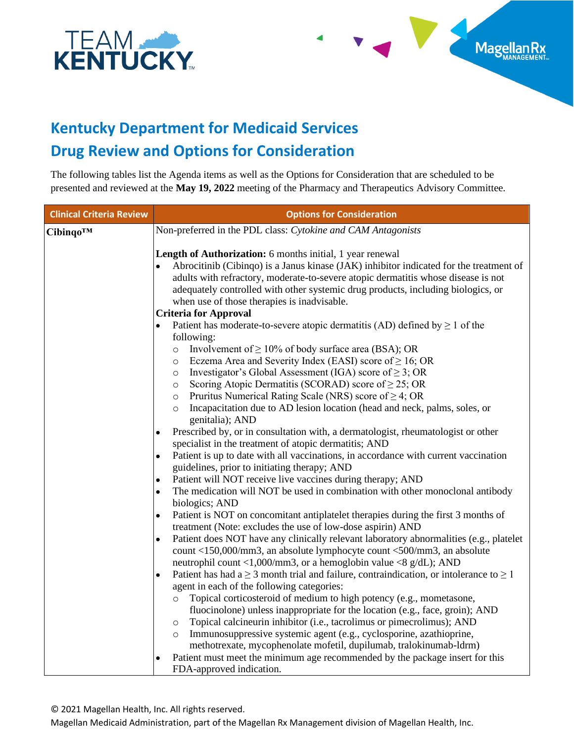

## **Kentucky Department for Medicaid Services Drug Review and Options for Consideration**

The following tables list the Agenda items as well as the Options for Consideration that are scheduled to be presented and reviewed at the **May 19, 2022** meeting of the Pharmacy and Therapeutics Advisory Committee.

Magellan Rx

| <b>Clinical Criteria Review</b> | <b>Options for Consideration</b>                                                                                                                                                                                                                                                                                                                                                                                                                                                                                                                                                                                                                                                                                                                                                                                                                                                                                                                                                                                                                                                                                                                                                                                                                                                                                                                                                                                                                                                                                                                                                                                                                                                                                                                                                                                                                            |
|---------------------------------|-------------------------------------------------------------------------------------------------------------------------------------------------------------------------------------------------------------------------------------------------------------------------------------------------------------------------------------------------------------------------------------------------------------------------------------------------------------------------------------------------------------------------------------------------------------------------------------------------------------------------------------------------------------------------------------------------------------------------------------------------------------------------------------------------------------------------------------------------------------------------------------------------------------------------------------------------------------------------------------------------------------------------------------------------------------------------------------------------------------------------------------------------------------------------------------------------------------------------------------------------------------------------------------------------------------------------------------------------------------------------------------------------------------------------------------------------------------------------------------------------------------------------------------------------------------------------------------------------------------------------------------------------------------------------------------------------------------------------------------------------------------------------------------------------------------------------------------------------------------|
|                                 | Non-preferred in the PDL class: Cytokine and CAM Antagonists                                                                                                                                                                                                                                                                                                                                                                                                                                                                                                                                                                                                                                                                                                                                                                                                                                                                                                                                                                                                                                                                                                                                                                                                                                                                                                                                                                                                                                                                                                                                                                                                                                                                                                                                                                                                |
| Cibinqo™                        | Length of Authorization: 6 months initial, 1 year renewal<br>Abrocitinib (Cibingo) is a Janus kinase (JAK) inhibitor indicated for the treatment of<br>adults with refractory, moderate-to-severe atopic dermatitis whose disease is not<br>adequately controlled with other systemic drug products, including biologics, or<br>when use of those therapies is inadvisable.<br><b>Criteria for Approval</b><br>Patient has moderate-to-severe atopic dermatitis (AD) defined by $\geq 1$ of the<br>following:<br>Involvement of $\geq 10\%$ of body surface area (BSA); OR<br>$\circ$<br>Eczema Area and Severity Index (EASI) score of $\geq 16$ ; OR<br>$\circ$<br>Investigator's Global Assessment (IGA) score of $\geq$ 3; OR<br>$\circ$<br>Scoring Atopic Dermatitis (SCORAD) score of $\geq$ 25; OR<br>$\circ$<br>Pruritus Numerical Rating Scale (NRS) score of $\geq$ 4; OR<br>$\circ$<br>Incapacitation due to AD lesion location (head and neck, palms, soles, or<br>$\circ$<br>genitalia); AND<br>Prescribed by, or in consultation with, a dermatologist, rheumatologist or other<br>$\bullet$<br>specialist in the treatment of atopic dermatitis; AND<br>Patient is up to date with all vaccinations, in accordance with current vaccination<br>$\bullet$<br>guidelines, prior to initiating therapy; AND<br>Patient will NOT receive live vaccines during therapy; AND<br>$\bullet$<br>The medication will NOT be used in combination with other monoclonal antibody<br>$\bullet$<br>biologics; AND<br>Patient is NOT on concomitant antiplatelet therapies during the first 3 months of<br>$\bullet$<br>treatment (Note: excludes the use of low-dose aspirin) AND<br>Patient does NOT have any clinically relevant laboratory abnormalities (e.g., platelet<br>٠<br>count <150,000/mm3, an absolute lymphocyte count <500/mm3, an absolute |
|                                 | neutrophil count <1,000/mm3, or a hemoglobin value <8 $g/dL$ ); AND<br>Patient has had $a \ge 3$ month trial and failure, contraindication, or intolerance to $\ge 1$<br>$\bullet$                                                                                                                                                                                                                                                                                                                                                                                                                                                                                                                                                                                                                                                                                                                                                                                                                                                                                                                                                                                                                                                                                                                                                                                                                                                                                                                                                                                                                                                                                                                                                                                                                                                                          |
|                                 | agent in each of the following categories:<br>Topical corticosteroid of medium to high potency (e.g., mometasone,<br>$\circ$                                                                                                                                                                                                                                                                                                                                                                                                                                                                                                                                                                                                                                                                                                                                                                                                                                                                                                                                                                                                                                                                                                                                                                                                                                                                                                                                                                                                                                                                                                                                                                                                                                                                                                                                |
|                                 | fluocinolone) unless inappropriate for the location (e.g., face, groin); AND<br>Topical calcineurin inhibitor (i.e., tacrolimus or pimecrolimus); AND<br>$\circ$<br>Immunosuppressive systemic agent (e.g., cyclosporine, azathioprine,<br>$\circ$<br>methotrexate, mycophenolate mofetil, dupilumab, tralokinumab-ldrm)                                                                                                                                                                                                                                                                                                                                                                                                                                                                                                                                                                                                                                                                                                                                                                                                                                                                                                                                                                                                                                                                                                                                                                                                                                                                                                                                                                                                                                                                                                                                    |
|                                 | Patient must meet the minimum age recommended by the package insert for this<br>FDA-approved indication.                                                                                                                                                                                                                                                                                                                                                                                                                                                                                                                                                                                                                                                                                                                                                                                                                                                                                                                                                                                                                                                                                                                                                                                                                                                                                                                                                                                                                                                                                                                                                                                                                                                                                                                                                    |

© 2021 Magellan Health, Inc. All rights reserved.

Magellan Medicaid Administration, part of the Magellan Rx Management division of Magellan Health, Inc.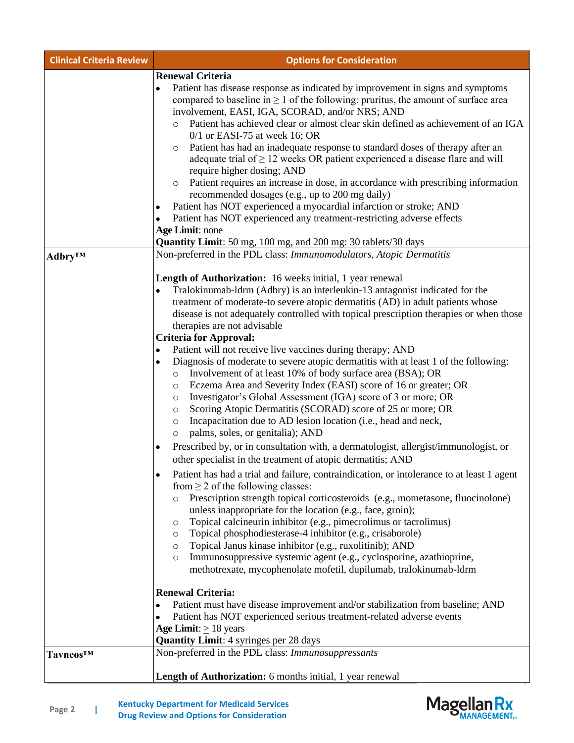| <b>Clinical Criteria Review</b> | <b>Options for Consideration</b>                                                                                                                                                                                                                                                                                                                                                                                                                                                                                                                                                                                                                                                                                                                                                                                                                                                                                                  |
|---------------------------------|-----------------------------------------------------------------------------------------------------------------------------------------------------------------------------------------------------------------------------------------------------------------------------------------------------------------------------------------------------------------------------------------------------------------------------------------------------------------------------------------------------------------------------------------------------------------------------------------------------------------------------------------------------------------------------------------------------------------------------------------------------------------------------------------------------------------------------------------------------------------------------------------------------------------------------------|
|                                 | <b>Renewal Criteria</b><br>Patient has disease response as indicated by improvement in signs and symptoms<br>$\bullet$<br>compared to baseline in $\geq 1$ of the following: pruritus, the amount of surface area<br>involvement, EASI, IGA, SCORAD, and/or NRS; AND<br>Patient has achieved clear or almost clear skin defined as achievement of an IGA<br>$0/1$ or EASI-75 at week 16; OR<br>Patient has had an inadequate response to standard doses of therapy after an<br>$\circ$<br>adequate trial of $\geq$ 12 weeks OR patient experienced a disease flare and will<br>require higher dosing; AND<br>Patient requires an increase in dose, in accordance with prescribing information<br>$\circ$<br>recommended dosages (e.g., up to 200 mg daily)<br>Patient has NOT experienced a myocardial infarction or stroke; AND<br>٠<br>Patient has NOT experienced any treatment-restricting adverse effects<br>Age Limit: none |
| Adbry™                          | Quantity Limit: 50 mg, 100 mg, and 200 mg: 30 tablets/30 days<br>Non-preferred in the PDL class: Immunomodulators, Atopic Dermatitis                                                                                                                                                                                                                                                                                                                                                                                                                                                                                                                                                                                                                                                                                                                                                                                              |
|                                 | <b>Length of Authorization:</b> 16 weeks initial, 1 year renewal<br>Tralokinumab-ldrm (Adbry) is an interleukin-13 antagonist indicated for the<br>$\bullet$<br>treatment of moderate-to severe atopic dermatitis (AD) in adult patients whose<br>disease is not adequately controlled with topical prescription therapies or when those<br>therapies are not advisable<br><b>Criteria for Approval:</b>                                                                                                                                                                                                                                                                                                                                                                                                                                                                                                                          |
|                                 | Patient will not receive live vaccines during therapy; AND<br>٠<br>Diagnosis of moderate to severe atopic dermatitis with at least 1 of the following:<br>٠<br>Involvement of at least 10% of body surface area (BSA); OR<br>$\circ$<br>Eczema Area and Severity Index (EASI) score of 16 or greater; OR<br>$\circ$<br>Investigator's Global Assessment (IGA) score of 3 or more; OR<br>$\circ$<br>Scoring Atopic Dermatitis (SCORAD) score of 25 or more; OR<br>$\circ$<br>Incapacitation due to AD lesion location (i.e., head and neck,<br>$\circ$<br>palms, soles, or genitalia); AND<br>$\circ$                                                                                                                                                                                                                                                                                                                              |
|                                 | Prescribed by, or in consultation with, a dermatologist, allergist/immunologist, or<br>٠<br>other specialist in the treatment of atopic dermatitis; AND                                                                                                                                                                                                                                                                                                                                                                                                                                                                                                                                                                                                                                                                                                                                                                           |
|                                 | Patient has had a trial and failure, contraindication, or intolerance to at least 1 agent<br>from $\geq$ 2 of the following classes:<br>Prescription strength topical corticosteroids (e.g., mometasone, fluocinolone)<br>$\circ$<br>unless inappropriate for the location (e.g., face, groin);<br>Topical calcineurin inhibitor (e.g., pimecrolimus or tacrolimus)<br>$\circ$<br>Topical phosphodiesterase-4 inhibitor (e.g., crisaborole)<br>$\circ$<br>Topical Janus kinase inhibitor (e.g., ruxolitinib); AND<br>$\circ$<br>Immunosuppressive systemic agent (e.g., cyclosporine, azathioprine,<br>$\circ$<br>methotrexate, mycophenolate mofetil, dupilumab, tralokinumab-ldrm                                                                                                                                                                                                                                               |
|                                 | <b>Renewal Criteria:</b><br>Patient must have disease improvement and/or stabilization from baseline; AND<br>٠                                                                                                                                                                                                                                                                                                                                                                                                                                                                                                                                                                                                                                                                                                                                                                                                                    |
|                                 | Patient has NOT experienced serious treatment-related adverse events<br>٠<br>Age Limit: $\geq$ 18 years<br><b>Quantity Limit:</b> 4 syringes per 28 days                                                                                                                                                                                                                                                                                                                                                                                                                                                                                                                                                                                                                                                                                                                                                                          |
| Tavneos™                        | Non-preferred in the PDL class: Immunosuppressants                                                                                                                                                                                                                                                                                                                                                                                                                                                                                                                                                                                                                                                                                                                                                                                                                                                                                |
|                                 | Length of Authorization: 6 months initial, 1 year renewal                                                                                                                                                                                                                                                                                                                                                                                                                                                                                                                                                                                                                                                                                                                                                                                                                                                                         |



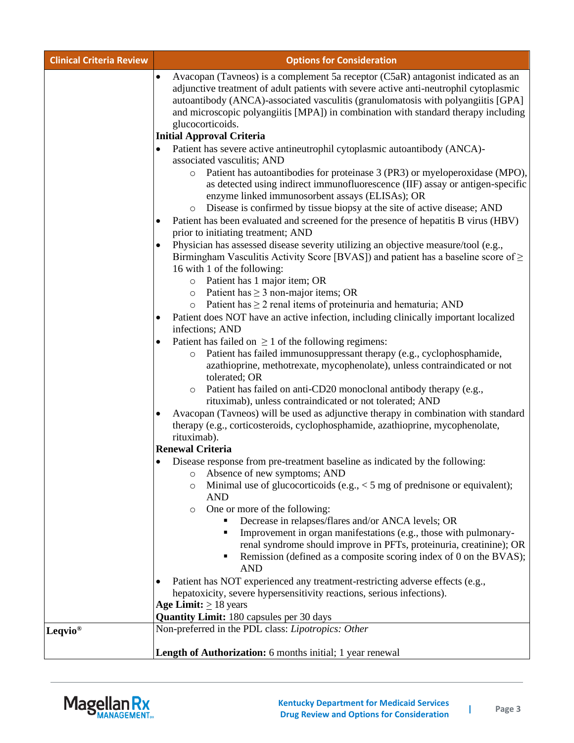| <b>Clinical Criteria Review</b> | <b>Options for Consideration</b>                                                                                                                                                                                                                                                                                                                                                                                          |
|---------------------------------|---------------------------------------------------------------------------------------------------------------------------------------------------------------------------------------------------------------------------------------------------------------------------------------------------------------------------------------------------------------------------------------------------------------------------|
|                                 | Avacopan (Tavneos) is a complement 5a receptor (C5aR) antagonist indicated as an<br>$\bullet$<br>adjunctive treatment of adult patients with severe active anti-neutrophil cytoplasmic<br>autoantibody (ANCA)-associated vasculitis (granulomatosis with polyangiitis [GPA]<br>and microscopic polyangiitis [MPA]) in combination with standard therapy including<br>glucocorticoids.<br><b>Initial Approval Criteria</b> |
|                                 | Patient has severe active antineutrophil cytoplasmic autoantibody (ANCA)-<br>$\bullet$<br>associated vasculitis; AND                                                                                                                                                                                                                                                                                                      |
|                                 | Patient has autoantibodies for proteinase 3 (PR3) or myeloperoxidase (MPO),<br>$\circ$<br>as detected using indirect immunofluorescence (IIF) assay or antigen-specific<br>enzyme linked immunosorbent assays (ELISAs); OR<br>Disease is confirmed by tissue biopsy at the site of active disease; AND<br>$\circ$                                                                                                         |
|                                 | Patient has been evaluated and screened for the presence of hepatitis B virus (HBV)<br>$\bullet$<br>prior to initiating treatment; AND                                                                                                                                                                                                                                                                                    |
|                                 | Physician has assessed disease severity utilizing an objective measure/tool (e.g.,<br>Birmingham Vasculitis Activity Score [BVAS]) and patient has a baseline score of $\geq$<br>16 with 1 of the following:<br>Patient has 1 major item; OR<br>$\circ$                                                                                                                                                                   |
|                                 | Patient has $\geq 3$ non-major items; OR<br>$\circ$                                                                                                                                                                                                                                                                                                                                                                       |
|                                 | $\circ$ Patient has $\geq 2$ renal items of proteinuria and hematuria; AND                                                                                                                                                                                                                                                                                                                                                |
|                                 | Patient does NOT have an active infection, including clinically important localized<br>$\bullet$<br>infections; AND                                                                                                                                                                                                                                                                                                       |
|                                 | Patient has failed on $\geq 1$ of the following regimens:<br>Patient has failed immunosuppressant therapy (e.g., cyclophosphamide,<br>$\circ$<br>azathioprine, methotrexate, mycophenolate), unless contraindicated or not<br>tolerated; OR                                                                                                                                                                               |
|                                 | Patient has failed on anti-CD20 monoclonal antibody therapy (e.g.,<br>$\circ$<br>rituximab), unless contraindicated or not tolerated; AND                                                                                                                                                                                                                                                                                 |
|                                 | Avacopan (Tavneos) will be used as adjunctive therapy in combination with standard<br>therapy (e.g., corticosteroids, cyclophosphamide, azathioprine, mycophenolate,<br>rituximab).                                                                                                                                                                                                                                       |
|                                 | <b>Renewal Criteria</b>                                                                                                                                                                                                                                                                                                                                                                                                   |
|                                 | Disease response from pre-treatment baseline as indicated by the following:<br>٠<br>Absence of new symptoms; AND<br>O                                                                                                                                                                                                                                                                                                     |
|                                 | Minimal use of glucocorticoids (e.g., $<$ 5 mg of prednisone or equivalent);<br>$\circ$<br><b>AND</b>                                                                                                                                                                                                                                                                                                                     |
|                                 | One or more of the following:<br>$\circ$                                                                                                                                                                                                                                                                                                                                                                                  |
|                                 | Decrease in relapses/flares and/or ANCA levels; OR<br>Improvement in organ manifestations (e.g., those with pulmonary-<br>٠<br>renal syndrome should improve in PFTs, proteinuria, creatinine); OR<br>Remission (defined as a composite scoring index of 0 on the BVAS);<br><b>AND</b>                                                                                                                                    |
|                                 | Patient has NOT experienced any treatment-restricting adverse effects (e.g.,<br>$\bullet$                                                                                                                                                                                                                                                                                                                                 |
|                                 | hepatoxicity, severe hypersensitivity reactions, serious infections).                                                                                                                                                                                                                                                                                                                                                     |
|                                 | Age Limit: $\geq$ 18 years                                                                                                                                                                                                                                                                                                                                                                                                |
|                                 | <b>Quantity Limit: 180 capsules per 30 days</b><br>Non-preferred in the PDL class: Lipotropics: Other                                                                                                                                                                                                                                                                                                                     |
| Leqvio <sup>®</sup>             |                                                                                                                                                                                                                                                                                                                                                                                                                           |
|                                 | <b>Length of Authorization:</b> 6 months initial; 1 year renewal                                                                                                                                                                                                                                                                                                                                                          |

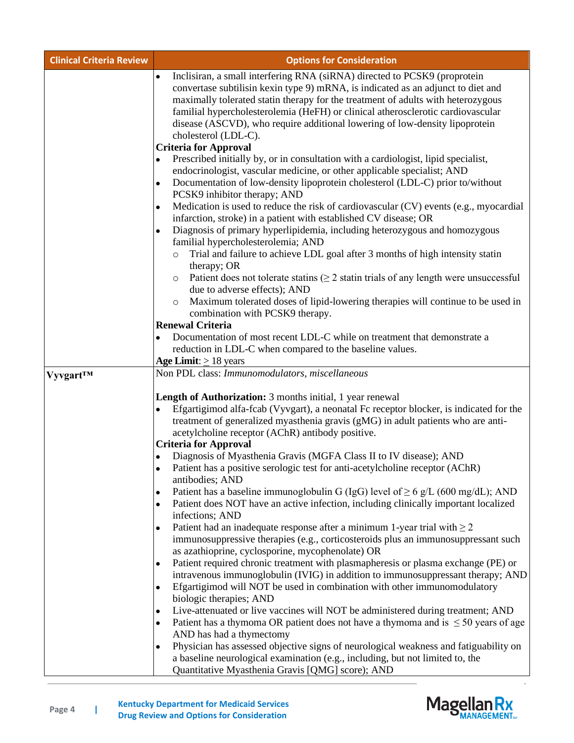| <b>Clinical Criteria Review</b> | <b>Options for Consideration</b>                                                                                                                                                                                                                                                                                                                                                                                                                                                                                                                                                                                                                                                                                                                                                                                                                                                                                                                                                                                                                                                                                                                                                                                                                                                                                                                                                                                                                                                                                                                               |
|---------------------------------|----------------------------------------------------------------------------------------------------------------------------------------------------------------------------------------------------------------------------------------------------------------------------------------------------------------------------------------------------------------------------------------------------------------------------------------------------------------------------------------------------------------------------------------------------------------------------------------------------------------------------------------------------------------------------------------------------------------------------------------------------------------------------------------------------------------------------------------------------------------------------------------------------------------------------------------------------------------------------------------------------------------------------------------------------------------------------------------------------------------------------------------------------------------------------------------------------------------------------------------------------------------------------------------------------------------------------------------------------------------------------------------------------------------------------------------------------------------------------------------------------------------------------------------------------------------|
|                                 | Inclisiran, a small interfering RNA (siRNA) directed to PCSK9 (proprotein<br>$\bullet$<br>convertase subtilisin kexin type 9) mRNA, is indicated as an adjunct to diet and<br>maximally tolerated statin therapy for the treatment of adults with heterozygous<br>familial hypercholesterolemia (HeFH) or clinical atherosclerotic cardiovascular<br>disease (ASCVD), who require additional lowering of low-density lipoprotein<br>cholesterol (LDL-C).<br><b>Criteria for Approval</b>                                                                                                                                                                                                                                                                                                                                                                                                                                                                                                                                                                                                                                                                                                                                                                                                                                                                                                                                                                                                                                                                       |
|                                 | Prescribed initially by, or in consultation with a cardiologist, lipid specialist,<br>endocrinologist, vascular medicine, or other applicable specialist; AND<br>Documentation of low-density lipoprotein cholesterol (LDL-C) prior to/without<br>$\bullet$<br>PCSK9 inhibitor therapy; AND<br>Medication is used to reduce the risk of cardiovascular (CV) events (e.g., myocardial<br>٠<br>infarction, stroke) in a patient with established CV disease; OR<br>Diagnosis of primary hyperlipidemia, including heterozygous and homozygous<br>$\bullet$<br>familial hypercholesterolemia; AND<br>Trial and failure to achieve LDL goal after 3 months of high intensity statin<br>$\circ$<br>therapy; OR<br>Patient does not tolerate statins ( $\geq 2$ statin trials of any length were unsuccessful<br>$\circ$<br>due to adverse effects); AND<br>Maximum tolerated doses of lipid-lowering therapies will continue to be used in<br>$\circ$<br>combination with PCSK9 therapy.                                                                                                                                                                                                                                                                                                                                                                                                                                                                                                                                                                            |
|                                 | <b>Renewal Criteria</b><br>Documentation of most recent LDL-C while on treatment that demonstrate a<br>reduction in LDL-C when compared to the baseline values.<br>Age Limit: $\geq$ 18 years                                                                                                                                                                                                                                                                                                                                                                                                                                                                                                                                                                                                                                                                                                                                                                                                                                                                                                                                                                                                                                                                                                                                                                                                                                                                                                                                                                  |
| <b>Vyvgart<sup>TM</sup></b>     | Non PDL class: Immunomodulators, miscellaneous<br>Length of Authorization: 3 months initial, 1 year renewal<br>Efgartigimod alfa-fcab (Vyvgart), a neonatal Fc receptor blocker, is indicated for the<br>$\bullet$<br>treatment of generalized myasthenia gravis (gMG) in adult patients who are anti-<br>acetylcholine receptor (AChR) antibody positive.<br><b>Criteria for Approval</b><br>Diagnosis of Myasthenia Gravis (MGFA Class II to IV disease); AND<br>Patient has a positive serologic test for anti-acetylcholine receptor (AChR)<br>$\bullet$<br>antibodies; AND<br>Patient has a baseline immunoglobulin G (IgG) level of $\geq 6$ g/L (600 mg/dL); AND<br>٠<br>Patient does NOT have an active infection, including clinically important localized<br>$\bullet$<br>infections; AND<br>Patient had an inadequate response after a minimum 1-year trial with $\geq 2$<br>٠<br>immunosuppressive therapies (e.g., corticosteroids plus an immunosuppressant such<br>as azathioprine, cyclosporine, mycophenolate) OR<br>Patient required chronic treatment with plasmapheresis or plasma exchange (PE) or<br>٠<br>intravenous immunoglobulin (IVIG) in addition to immunosuppressant therapy; AND<br>Efgartigimod will NOT be used in combination with other immunomodulatory<br>$\bullet$<br>biologic therapies; AND<br>Live-attenuated or live vaccines will NOT be administered during treatment; AND<br>$\bullet$<br>Patient has a thymoma OR patient does not have a thymoma and is $\leq 50$ years of age<br>٠<br>AND has had a thymectomy |
|                                 | Physician has assessed objective signs of neurological weakness and fatiguability on<br>a baseline neurological examination (e.g., including, but not limited to, the<br>Quantitative Myasthenia Gravis [QMG] score); AND                                                                                                                                                                                                                                                                                                                                                                                                                                                                                                                                                                                                                                                                                                                                                                                                                                                                                                                                                                                                                                                                                                                                                                                                                                                                                                                                      |

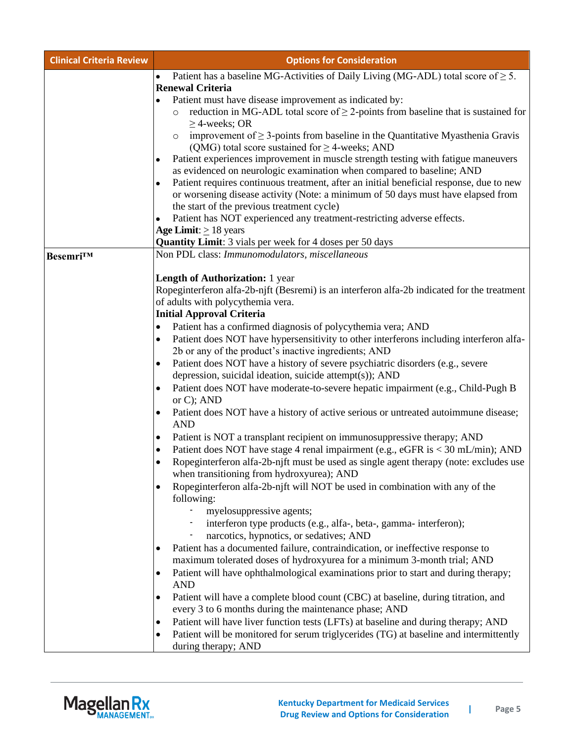| <b>Clinical Criteria Review</b> | <b>Options for Consideration</b>                                                                                                                                                         |
|---------------------------------|------------------------------------------------------------------------------------------------------------------------------------------------------------------------------------------|
|                                 | Patient has a baseline MG-Activities of Daily Living (MG-ADL) total score of $\geq$ 5.<br>$\bullet$                                                                                      |
|                                 | <b>Renewal Criteria</b>                                                                                                                                                                  |
|                                 | Patient must have disease improvement as indicated by:<br>٠                                                                                                                              |
|                                 | reduction in MG-ADL total score of $\geq$ 2-points from baseline that is sustained for<br>$\circ$<br>$\geq$ 4-weeks; OR                                                                  |
|                                 | improvement of $\geq$ 3-points from baseline in the Quantitative Myasthenia Gravis<br>$\circ$<br>(QMG) total score sustained for $\geq$ 4-weeks; AND                                     |
|                                 | Patient experiences improvement in muscle strength testing with fatigue maneuvers<br>٠                                                                                                   |
|                                 | as evidenced on neurologic examination when compared to baseline; AND                                                                                                                    |
|                                 | Patient requires continuous treatment, after an initial beneficial response, due to new<br>$\bullet$<br>or worsening disease activity (Note: a minimum of 50 days must have elapsed from |
|                                 | the start of the previous treatment cycle)                                                                                                                                               |
|                                 | Patient has NOT experienced any treatment-restricting adverse effects.                                                                                                                   |
|                                 | Age Limit: $\geq 18$ years                                                                                                                                                               |
|                                 | <b>Quantity Limit:</b> 3 vials per week for 4 doses per 50 days                                                                                                                          |
| Besemri™                        | Non PDL class: Immunomodulators, miscellaneous                                                                                                                                           |
|                                 |                                                                                                                                                                                          |
|                                 | <b>Length of Authorization:</b> 1 year                                                                                                                                                   |
|                                 | Ropeginterferon alfa-2b-njft (Besremi) is an interferon alfa-2b indicated for the treatment                                                                                              |
|                                 | of adults with polycythemia vera.                                                                                                                                                        |
|                                 | <b>Initial Approval Criteria</b>                                                                                                                                                         |
|                                 | Patient has a confirmed diagnosis of polycythemia vera; AND<br>٠                                                                                                                         |
|                                 | Patient does NOT have hypersensitivity to other interferons including interferon alfa-<br>٠<br>2b or any of the product's inactive ingredients; AND                                      |
|                                 | Patient does NOT have a history of severe psychiatric disorders (e.g., severe<br>$\bullet$                                                                                               |
|                                 | depression, suicidal ideation, suicide attempt(s)); AND                                                                                                                                  |
|                                 | Patient does NOT have moderate-to-severe hepatic impairment (e.g., Child-Pugh B<br>٠<br>or $C$ ; AND                                                                                     |
|                                 | Patient does NOT have a history of active serious or untreated autoimmune disease;<br>٠<br><b>AND</b>                                                                                    |
|                                 | Patient is NOT a transplant recipient on immunosuppressive therapy; AND<br>٠                                                                                                             |
|                                 | Patient does NOT have stage 4 renal impairment (e.g., eGFR is < 30 mL/min); AND<br>٠                                                                                                     |
|                                 | Ropeginterferon alfa-2b-njft must be used as single agent therapy (note: excludes use                                                                                                    |
|                                 | when transitioning from hydroxyurea); AND                                                                                                                                                |
|                                 | Ropeginterferon alfa-2b-njft will NOT be used in combination with any of the<br>$\bullet$                                                                                                |
|                                 | following:                                                                                                                                                                               |
|                                 | myelosuppressive agents;                                                                                                                                                                 |
|                                 | interferon type products (e.g., alfa-, beta-, gamma- interferon);                                                                                                                        |
|                                 | narcotics, hypnotics, or sedatives; AND                                                                                                                                                  |
|                                 | Patient has a documented failure, contraindication, or ineffective response to<br>$\bullet$                                                                                              |
|                                 | maximum tolerated doses of hydroxyurea for a minimum 3-month trial; AND                                                                                                                  |
|                                 | Patient will have ophthalmological examinations prior to start and during therapy;<br>$\bullet$                                                                                          |
|                                 | <b>AND</b>                                                                                                                                                                               |
|                                 | Patient will have a complete blood count (CBC) at baseline, during titration, and<br>$\bullet$                                                                                           |
|                                 | every 3 to 6 months during the maintenance phase; AND                                                                                                                                    |
|                                 | Patient will have liver function tests (LFTs) at baseline and during therapy; AND<br>$\bullet$                                                                                           |
|                                 | Patient will be monitored for serum triglycerides (TG) at baseline and intermittently<br>$\bullet$<br>during therapy; AND                                                                |

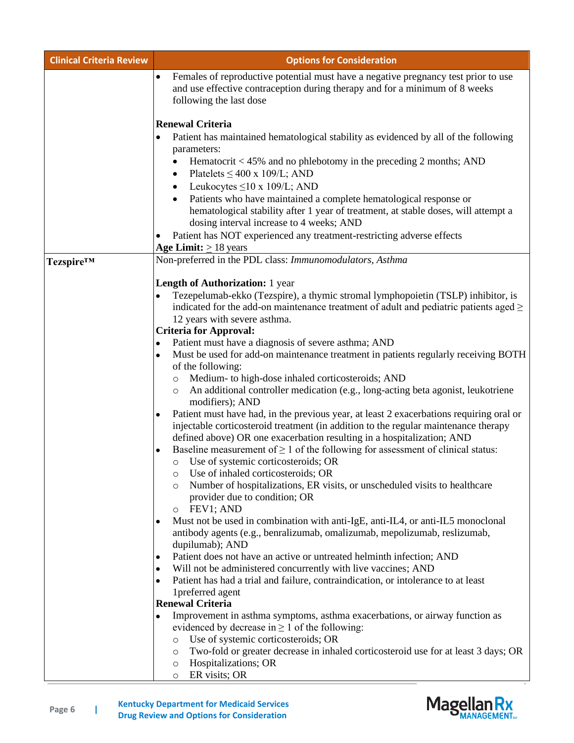| <b>Clinical Criteria Review</b> | <b>Options for Consideration</b>                                                                                                                                                                          |
|---------------------------------|-----------------------------------------------------------------------------------------------------------------------------------------------------------------------------------------------------------|
|                                 | Females of reproductive potential must have a negative pregnancy test prior to use<br>$\bullet$<br>and use effective contraception during therapy and for a minimum of 8 weeks<br>following the last dose |
|                                 | <b>Renewal Criteria</b>                                                                                                                                                                                   |
|                                 | Patient has maintained hematological stability as evidenced by all of the following<br>٠<br>parameters:<br>Hematocrit $<$ 45% and no phlebotomy in the preceding 2 months; AND<br>$\bullet$               |
|                                 | Platelets $\leq 400$ x 109/L; AND<br>$\bullet$                                                                                                                                                            |
|                                 | Leukocytes $\leq 10$ x 109/L; AND<br>$\bullet$<br>Patients who have maintained a complete hematological response or                                                                                       |
|                                 | hematological stability after 1 year of treatment, at stable doses, will attempt a<br>dosing interval increase to 4 weeks; AND                                                                            |
|                                 | Patient has NOT experienced any treatment-restricting adverse effects                                                                                                                                     |
|                                 | Age Limit: $\geq$ 18 years                                                                                                                                                                                |
| Tezspire™                       | Non-preferred in the PDL class: Immunomodulators, Asthma                                                                                                                                                  |
|                                 | <b>Length of Authorization:</b> 1 year                                                                                                                                                                    |
|                                 | Tezepelumab-ekko (Tezspire), a thymic stromal lymphopoietin (TSLP) inhibitor, is                                                                                                                          |
|                                 | indicated for the add-on maintenance treatment of adult and pediatric patients aged $\geq$<br>12 years with severe asthma.                                                                                |
|                                 | <b>Criteria for Approval:</b>                                                                                                                                                                             |
|                                 | Patient must have a diagnosis of severe asthma; AND                                                                                                                                                       |
|                                 | Must be used for add-on maintenance treatment in patients regularly receiving BOTH<br>٠<br>of the following:                                                                                              |
|                                 | Medium- to high-dose inhaled corticosteroids; AND<br>$\circ$                                                                                                                                              |
|                                 | An additional controller medication (e.g., long-acting beta agonist, leukotriene<br>$\circ$<br>modifiers); AND                                                                                            |
|                                 | Patient must have had, in the previous year, at least 2 exacerbations requiring oral or<br>٠                                                                                                              |
|                                 | injectable corticosteroid treatment (in addition to the regular maintenance therapy<br>defined above) OR one exacerbation resulting in a hospitalization; AND                                             |
|                                 | Baseline measurement of $\geq 1$ of the following for assessment of clinical status:<br>o Use of systemic corticosteroids; OR                                                                             |
|                                 | Use of inhaled corticosteroids; OR                                                                                                                                                                        |
|                                 | Number of hospitalizations, ER visits, or unscheduled visits to healthcare<br>$\circ$<br>provider due to condition; OR<br>FEV1; AND<br>$\circ$                                                            |
|                                 | Must not be used in combination with anti-IgE, anti-IL4, or anti-IL5 monoclonal<br>٠                                                                                                                      |
|                                 | antibody agents (e.g., benralizumab, omalizumab, mepolizumab, reslizumab,<br>dupilumab); AND                                                                                                              |
|                                 | Patient does not have an active or untreated helminth infection; AND                                                                                                                                      |
|                                 | Will not be administered concurrently with live vaccines; AND<br>٠                                                                                                                                        |
|                                 | Patient has had a trial and failure, contraindication, or intolerance to at least<br>٠                                                                                                                    |
|                                 | 1preferred agent                                                                                                                                                                                          |
|                                 | <b>Renewal Criteria</b>                                                                                                                                                                                   |
|                                 | Improvement in asthma symptoms, asthma exacerbations, or airway function as<br>evidenced by decrease in $\geq 1$ of the following:                                                                        |
|                                 | Use of systemic corticosteroids; OR<br>$\circ$                                                                                                                                                            |
|                                 | Two-fold or greater decrease in inhaled corticosteroid use for at least 3 days; OR<br>$\circ$                                                                                                             |
|                                 | Hospitalizations; OR<br>$\circ$                                                                                                                                                                           |
|                                 | ER visits; OR<br>$\circ$                                                                                                                                                                                  |



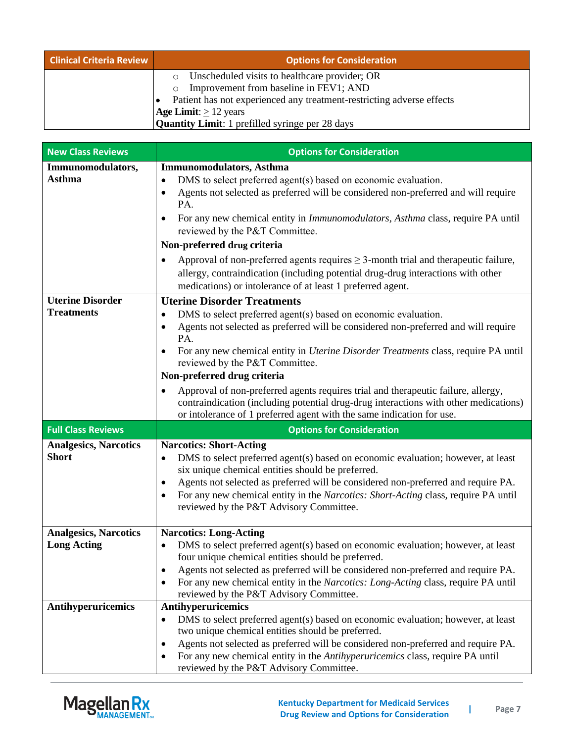| <b>Clinical Criteria Review</b> | <b>Options for Consideration</b>                                      |
|---------------------------------|-----------------------------------------------------------------------|
|                                 | Unscheduled visits to healthcare provider; OR                         |
|                                 | Improvement from baseline in FEV1; AND                                |
|                                 | Patient has not experienced any treatment-restricting adverse effects |
|                                 | <b>Age Limit:</b> $\geq$ 12 years                                     |
|                                 | <b>Quantity Limit:</b> 1 prefilled syringe per 28 days                |

| <b>New Class Reviews</b>                           | <b>Options for Consideration</b>                                                                                                                                                                                                                                                                                                                                                                                                                                                                                                                                                                                                                                          |
|----------------------------------------------------|---------------------------------------------------------------------------------------------------------------------------------------------------------------------------------------------------------------------------------------------------------------------------------------------------------------------------------------------------------------------------------------------------------------------------------------------------------------------------------------------------------------------------------------------------------------------------------------------------------------------------------------------------------------------------|
| Immunomodulators,<br>Asthma                        | <b>Immunomodulators, Asthma</b><br>DMS to select preferred agent(s) based on economic evaluation.<br>$\bullet$<br>Agents not selected as preferred will be considered non-preferred and will require<br>$\bullet$<br>PA.<br>For any new chemical entity in <i>Immunomodulators</i> , <i>Asthma</i> class, require PA until<br>$\bullet$<br>reviewed by the P&T Committee.<br>Non-preferred drug criteria<br>Approval of non-preferred agents requires $\geq$ 3-month trial and therapeutic failure,<br>$\bullet$<br>allergy, contraindication (including potential drug-drug interactions with other                                                                      |
|                                                    | medications) or intolerance of at least 1 preferred agent.                                                                                                                                                                                                                                                                                                                                                                                                                                                                                                                                                                                                                |
| <b>Uterine Disorder</b><br><b>Treatments</b>       | <b>Uterine Disorder Treatments</b><br>DMS to select preferred agent(s) based on economic evaluation.<br>$\bullet$<br>Agents not selected as preferred will be considered non-preferred and will require<br>$\bullet$<br>PA.<br>For any new chemical entity in <i>Uterine Disorder Treatments</i> class, require PA until<br>$\bullet$<br>reviewed by the P&T Committee.<br>Non-preferred drug criteria<br>Approval of non-preferred agents requires trial and therapeutic failure, allergy,<br>$\bullet$<br>contraindication (including potential drug-drug interactions with other medications)<br>or intolerance of 1 preferred agent with the same indication for use. |
| <b>Full Class Reviews</b>                          | <b>Options for Consideration</b>                                                                                                                                                                                                                                                                                                                                                                                                                                                                                                                                                                                                                                          |
| <b>Analgesics, Narcotics</b><br><b>Short</b>       | <b>Narcotics: Short-Acting</b><br>DMS to select preferred agent(s) based on economic evaluation; however, at least<br>$\bullet$<br>six unique chemical entities should be preferred.<br>Agents not selected as preferred will be considered non-preferred and require PA.<br>$\bullet$<br>For any new chemical entity in the Narcotics: Short-Acting class, require PA until<br>$\bullet$<br>reviewed by the P&T Advisory Committee.                                                                                                                                                                                                                                      |
| <b>Analgesics, Narcotics</b><br><b>Long Acting</b> | <b>Narcotics: Long-Acting</b><br>DMS to select preferred agent(s) based on economic evaluation; however, at least<br>$\bullet$<br>four unique chemical entities should be preferred.<br>Agents not selected as preferred will be considered non-preferred and require PA.<br>For any new chemical entity in the Narcotics: Long-Acting class, require PA until<br>$\bullet$<br>reviewed by the P&T Advisory Committee.                                                                                                                                                                                                                                                    |
| Antihyperuricemics                                 | Antihyperuricemics<br>DMS to select preferred agent(s) based on economic evaluation; however, at least<br>$\bullet$<br>two unique chemical entities should be preferred.<br>Agents not selected as preferred will be considered non-preferred and require PA.<br>٠<br>For any new chemical entity in the Antihyperuricemics class, require PA until<br>$\bullet$<br>reviewed by the P&T Advisory Committee.                                                                                                                                                                                                                                                               |

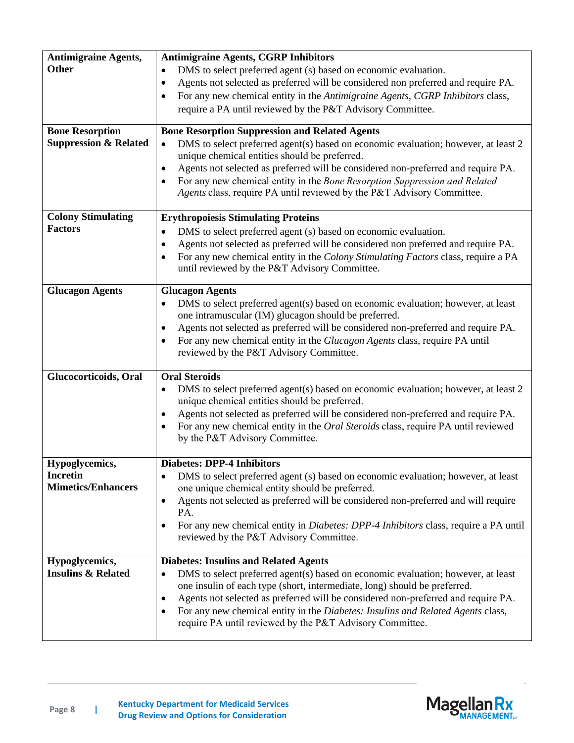| <b>Antimigraine Agents,</b><br><b>Other</b><br><b>Bone Resorption</b><br><b>Suppression &amp; Related</b> | <b>Antimigraine Agents, CGRP Inhibitors</b><br>DMS to select preferred agent (s) based on economic evaluation.<br>$\bullet$<br>Agents not selected as preferred will be considered non preferred and require PA.<br>$\bullet$<br>For any new chemical entity in the Antimigraine Agents, CGRP Inhibitors class,<br>$\bullet$<br>require a PA until reviewed by the P&T Advisory Committee.<br><b>Bone Resorption Suppression and Related Agents</b><br>DMS to select preferred agent(s) based on economic evaluation; however, at least 2<br>$\bullet$<br>unique chemical entities should be preferred.<br>Agents not selected as preferred will be considered non-preferred and require PA.<br>$\bullet$<br>For any new chemical entity in the Bone Resorption Suppression and Related<br>$\bullet$<br>Agents class, require PA until reviewed by the P&T Advisory Committee. |
|-----------------------------------------------------------------------------------------------------------|--------------------------------------------------------------------------------------------------------------------------------------------------------------------------------------------------------------------------------------------------------------------------------------------------------------------------------------------------------------------------------------------------------------------------------------------------------------------------------------------------------------------------------------------------------------------------------------------------------------------------------------------------------------------------------------------------------------------------------------------------------------------------------------------------------------------------------------------------------------------------------|
| <b>Colony Stimulating</b><br><b>Factors</b>                                                               | <b>Erythropoiesis Stimulating Proteins</b><br>DMS to select preferred agent (s) based on economic evaluation.<br>$\bullet$<br>Agents not selected as preferred will be considered non preferred and require PA.<br>٠<br>For any new chemical entity in the Colony Stimulating Factors class, require a PA<br>$\bullet$<br>until reviewed by the P&T Advisory Committee.                                                                                                                                                                                                                                                                                                                                                                                                                                                                                                        |
| <b>Glucagon Agents</b>                                                                                    | <b>Glucagon Agents</b><br>DMS to select preferred agent(s) based on economic evaluation; however, at least<br>$\bullet$<br>one intramuscular (IM) glucagon should be preferred.<br>Agents not selected as preferred will be considered non-preferred and require PA.<br>$\bullet$<br>For any new chemical entity in the Glucagon Agents class, require PA until<br>$\bullet$<br>reviewed by the P&T Advisory Committee.                                                                                                                                                                                                                                                                                                                                                                                                                                                        |
| Glucocorticoids, Oral                                                                                     | <b>Oral Steroids</b><br>DMS to select preferred agent(s) based on economic evaluation; however, at least 2<br>$\bullet$<br>unique chemical entities should be preferred.<br>Agents not selected as preferred will be considered non-preferred and require PA.<br>٠<br>For any new chemical entity in the Oral Steroids class, require PA until reviewed<br>٠<br>by the P&T Advisory Committee.                                                                                                                                                                                                                                                                                                                                                                                                                                                                                 |
| Hypoglycemics,<br><b>Incretin</b><br><b>Mimetics/Enhancers</b>                                            | <b>Diabetes: DPP-4 Inhibitors</b><br>DMS to select preferred agent (s) based on economic evaluation; however, at least<br>$\bullet$<br>one unique chemical entity should be preferred.<br>Agents not selected as preferred will be considered non-preferred and will require<br>$\bullet$<br>PA.<br>For any new chemical entity in <i>Diabetes: DPP-4 Inhibitors</i> class, require a PA until<br>$\bullet$<br>reviewed by the P&T Advisory Committee.                                                                                                                                                                                                                                                                                                                                                                                                                         |
| Hypoglycemics,<br><b>Insulins &amp; Related</b>                                                           | <b>Diabetes: Insulins and Related Agents</b><br>DMS to select preferred agent(s) based on economic evaluation; however, at least<br>$\bullet$<br>one insulin of each type (short, intermediate, long) should be preferred.<br>Agents not selected as preferred will be considered non-preferred and require PA.<br>٠<br>For any new chemical entity in the Diabetes: Insulins and Related Agents class,<br>٠<br>require PA until reviewed by the P&T Advisory Committee.                                                                                                                                                                                                                                                                                                                                                                                                       |